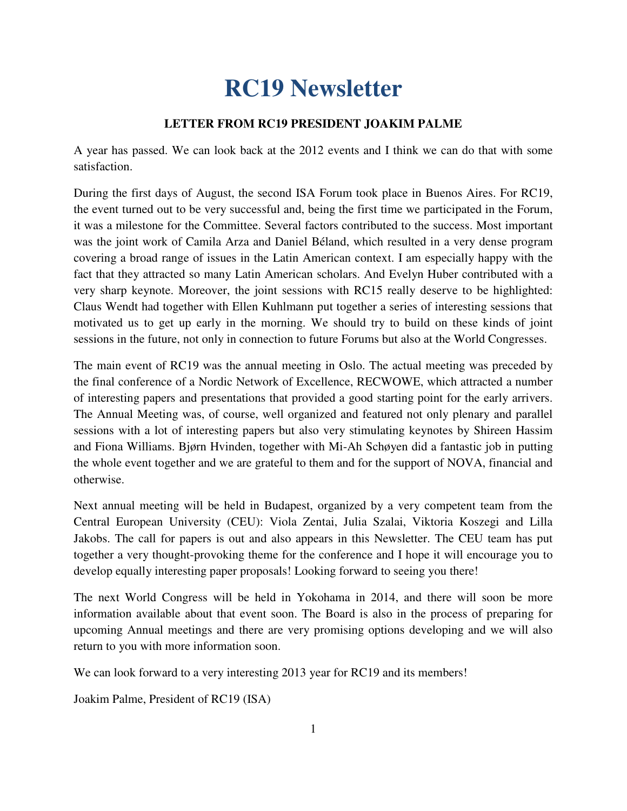# **RC19 Newsletter**

#### **LETTER FROM RC19 PRESIDENT JOAKIM PALME**

A year has passed. We can look back at the 2012 events and I think we can do that with some satisfaction.

During the first days of August, the second ISA Forum took place in Buenos Aires. For RC19, the event turned out to be very successful and, being the first time we participated in the Forum, it was a milestone for the Committee. Several factors contributed to the success. Most important was the joint work of Camila Arza and Daniel Béland, which resulted in a very dense program covering a broad range of issues in the Latin American context. I am especially happy with the fact that they attracted so many Latin American scholars. And Evelyn Huber contributed with a very sharp keynote. Moreover, the joint sessions with RC15 really deserve to be highlighted: Claus Wendt had together with Ellen Kuhlmann put together a series of interesting sessions that motivated us to get up early in the morning. We should try to build on these kinds of joint sessions in the future, not only in connection to future Forums but also at the World Congresses.

The main event of RC19 was the annual meeting in Oslo. The actual meeting was preceded by the final conference of a Nordic Network of Excellence, RECWOWE, which attracted a number of interesting papers and presentations that provided a good starting point for the early arrivers. The Annual Meeting was, of course, well organized and featured not only plenary and parallel sessions with a lot of interesting papers but also very stimulating keynotes by Shireen Hassim and Fiona Williams. Bjørn Hvinden, together with Mi-Ah Schøyen did a fantastic job in putting the whole event together and we are grateful to them and for the support of NOVA, financial and otherwise.

Next annual meeting will be held in Budapest, organized by a very competent team from the Central European University (CEU): Viola Zentai, Julia Szalai, Viktoria Koszegi and Lilla Jakobs. The call for papers is out and also appears in this Newsletter. The CEU team has put together a very thought-provoking theme for the conference and I hope it will encourage you to develop equally interesting paper proposals! Looking forward to seeing you there!

The next World Congress will be held in Yokohama in 2014, and there will soon be more information available about that event soon. The Board is also in the process of preparing for upcoming Annual meetings and there are very promising options developing and we will also return to you with more information soon.

We can look forward to a very interesting 2013 year for RC19 and its members!

Joakim Palme, President of RC19 (ISA)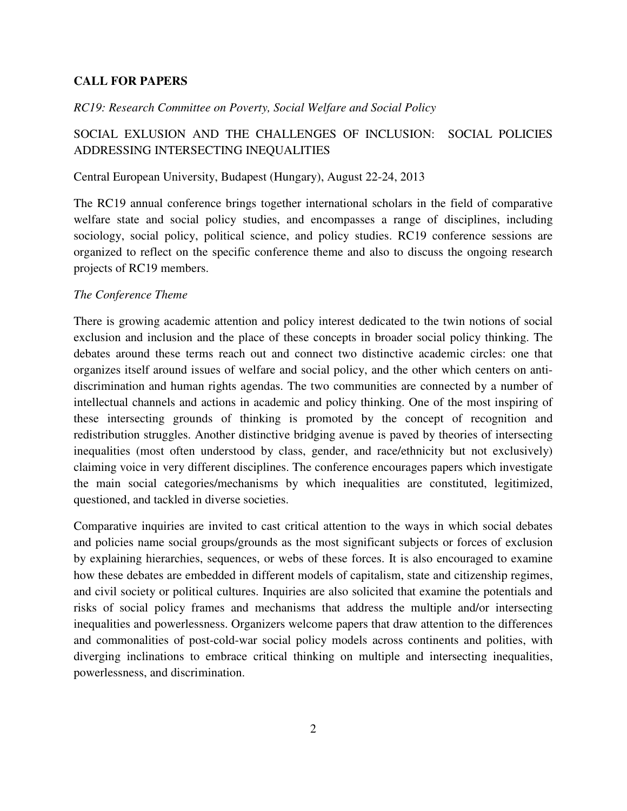#### **CALL FOR PAPERS**

#### *RC19: Research Committee on Poverty, Social Welfare and Social Policy*

## SOCIAL EXLUSION AND THE CHALLENGES OF INCLUSION: SOCIAL POLICIES ADDRESSING INTERSECTING INEQUALITIES

#### Central European University, Budapest (Hungary), August 22-24, 2013

The RC19 annual conference brings together international scholars in the field of comparative welfare state and social policy studies, and encompasses a range of disciplines, including sociology, social policy, political science, and policy studies. RC19 conference sessions are organized to reflect on the specific conference theme and also to discuss the ongoing research projects of RC19 members.

#### *The Conference Theme*

There is growing academic attention and policy interest dedicated to the twin notions of social exclusion and inclusion and the place of these concepts in broader social policy thinking. The debates around these terms reach out and connect two distinctive academic circles: one that organizes itself around issues of welfare and social policy, and the other which centers on antidiscrimination and human rights agendas. The two communities are connected by a number of intellectual channels and actions in academic and policy thinking. One of the most inspiring of these intersecting grounds of thinking is promoted by the concept of recognition and redistribution struggles. Another distinctive bridging avenue is paved by theories of intersecting inequalities (most often understood by class, gender, and race/ethnicity but not exclusively) claiming voice in very different disciplines. The conference encourages papers which investigate the main social categories/mechanisms by which inequalities are constituted, legitimized, questioned, and tackled in diverse societies.

Comparative inquiries are invited to cast critical attention to the ways in which social debates and policies name social groups/grounds as the most significant subjects or forces of exclusion by explaining hierarchies, sequences, or webs of these forces. It is also encouraged to examine how these debates are embedded in different models of capitalism, state and citizenship regimes, and civil society or political cultures. Inquiries are also solicited that examine the potentials and risks of social policy frames and mechanisms that address the multiple and/or intersecting inequalities and powerlessness. Organizers welcome papers that draw attention to the differences and commonalities of post-cold-war social policy models across continents and polities, with diverging inclinations to embrace critical thinking on multiple and intersecting inequalities, powerlessness, and discrimination.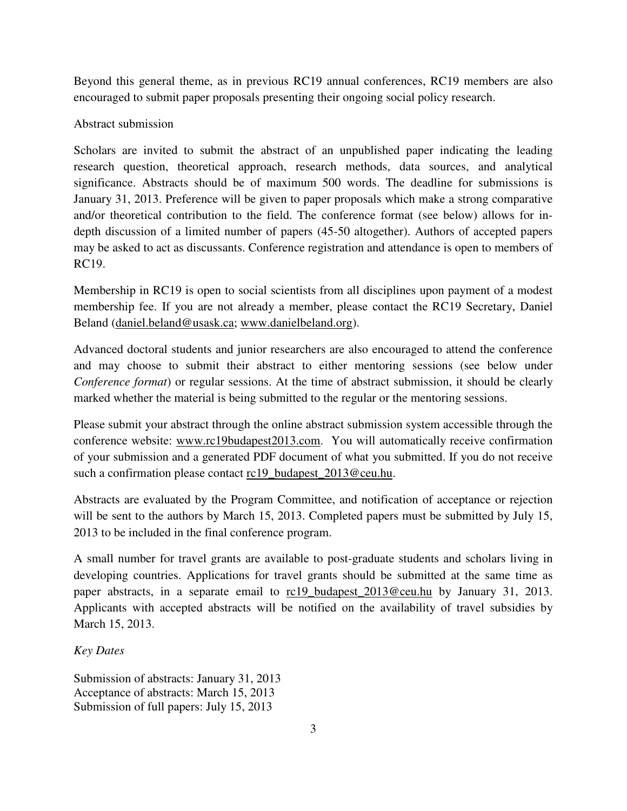Beyond this general theme, as in previous RC19 annual conferences, RC19 members are also encouraged to submit paper proposals presenting their ongoing social policy research.

## Abstract submission

Scholars are invited to submit the abstract of an unpublished paper indicating the leading research question, theoretical approach, research methods, data sources, and analytical significance. Abstracts should be of maximum 500 words. The deadline for submissions is January 31, 2013. Preference will be given to paper proposals which make a strong comparative and/or theoretical contribution to the field. The conference format (see below) allows for indepth discussion of a limited number of papers (45-50 altogether). Authors of accepted papers may be asked to act as discussants. Conference registration and attendance is open to members of RC19.

Membership in RC19 is open to social scientists from all disciplines upon payment of a modest membership fee. If you are not already a member, please contact the RC19 Secretary, Daniel Beland (daniel.beland@usask.ca; www.danielbeland.org).

Advanced doctoral students and junior researchers are also encouraged to attend the conference and may choose to submit their abstract to either mentoring sessions (see below under *Conference format*) or regular sessions. At the time of abstract submission, it should be clearly marked whether the material is being submitted to the regular or the mentoring sessions.

Please submit your abstract through the online abstract submission system accessible through the conference website: www.rc19budapest2013.com. You will automatically receive confirmation of your submission and a generated PDF document of what you submitted. If you do not receive such a confirmation please contact rc19\_budapest\_2013@ceu.hu.

Abstracts are evaluated by the Program Committee, and notification of acceptance or rejection will be sent to the authors by March 15, 2013. Completed papers must be submitted by July 15, 2013 to be included in the final conference program.

A small number for travel grants are available to post-graduate students and scholars living in developing countries. Applications for travel grants should be submitted at the same time as paper abstracts, in a separate email to rc19\_budapest\_2013@ceu.hu by January 31, 2013. Applicants with accepted abstracts will be notified on the availability of travel subsidies by March 15, 2013.

## *Key Dates*

Submission of abstracts: January 31, 2013 Acceptance of abstracts: March 15, 2013 Submission of full papers: July 15, 2013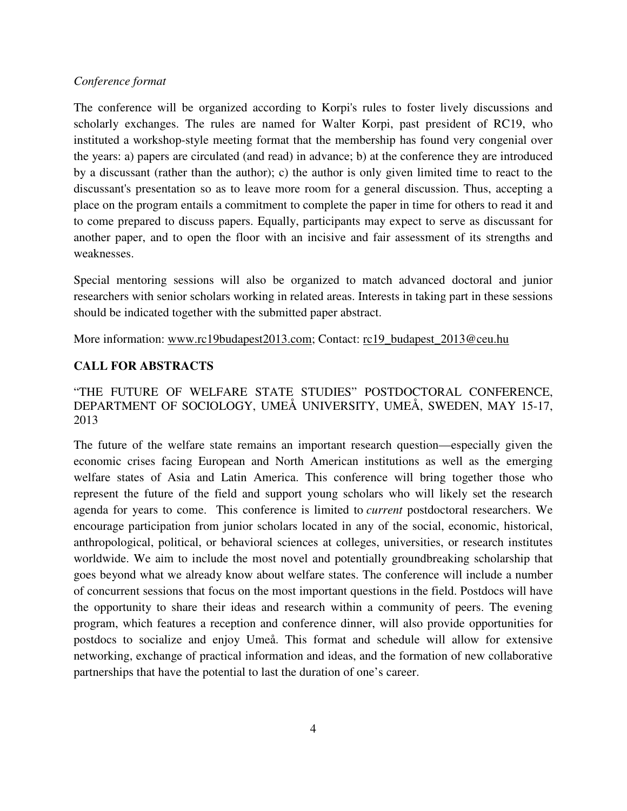#### *Conference format*

The conference will be organized according to Korpi's rules to foster lively discussions and scholarly exchanges. The rules are named for Walter Korpi, past president of RC19, who instituted a workshop-style meeting format that the membership has found very congenial over the years: a) papers are circulated (and read) in advance; b) at the conference they are introduced by a discussant (rather than the author); c) the author is only given limited time to react to the discussant's presentation so as to leave more room for a general discussion. Thus, accepting a place on the program entails a commitment to complete the paper in time for others to read it and to come prepared to discuss papers. Equally, participants may expect to serve as discussant for another paper, and to open the floor with an incisive and fair assessment of its strengths and weaknesses.

Special mentoring sessions will also be organized to match advanced doctoral and junior researchers with senior scholars working in related areas. Interests in taking part in these sessions should be indicated together with the submitted paper abstract.

More information: www.rc19budapest2013.com; Contact: rc19\_budapest\_2013@ceu.hu

#### **CALL FOR ABSTRACTS**

### "THE FUTURE OF WELFARE STATE STUDIES" POSTDOCTORAL CONFERENCE, DEPARTMENT OF SOCIOLOGY, UMEÅ UNIVERSITY, UMEÅ, SWEDEN, MAY 15-17, 2013

The future of the welfare state remains an important research question—especially given the economic crises facing European and North American institutions as well as the emerging welfare states of Asia and Latin America. This conference will bring together those who represent the future of the field and support young scholars who will likely set the research agenda for years to come. This conference is limited to *current* postdoctoral researchers. We encourage participation from junior scholars located in any of the social, economic, historical, anthropological, political, or behavioral sciences at colleges, universities, or research institutes worldwide. We aim to include the most novel and potentially groundbreaking scholarship that goes beyond what we already know about welfare states. The conference will include a number of concurrent sessions that focus on the most important questions in the field. Postdocs will have the opportunity to share their ideas and research within a community of peers. The evening program, which features a reception and conference dinner, will also provide opportunities for postdocs to socialize and enjoy Umeå. This format and schedule will allow for extensive networking, exchange of practical information and ideas, and the formation of new collaborative partnerships that have the potential to last the duration of one's career.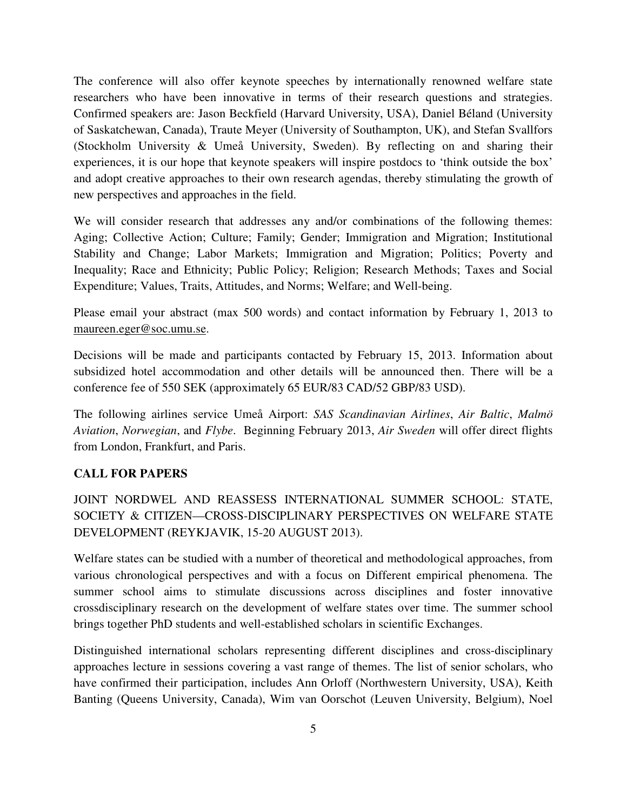The conference will also offer keynote speeches by internationally renowned welfare state researchers who have been innovative in terms of their research questions and strategies. Confirmed speakers are: Jason Beckfield (Harvard University, USA), Daniel Béland (University of Saskatchewan, Canada), Traute Meyer (University of Southampton, UK), and Stefan Svallfors (Stockholm University & Umeå University, Sweden). By reflecting on and sharing their experiences, it is our hope that keynote speakers will inspire postdocs to 'think outside the box' and adopt creative approaches to their own research agendas, thereby stimulating the growth of new perspectives and approaches in the field.

We will consider research that addresses any and/or combinations of the following themes: Aging; Collective Action; Culture; Family; Gender; Immigration and Migration; Institutional Stability and Change; Labor Markets; Immigration and Migration; Politics; Poverty and Inequality; Race and Ethnicity; Public Policy; Religion; Research Methods; Taxes and Social Expenditure; Values, Traits, Attitudes, and Norms; Welfare; and Well-being.

Please email your abstract (max 500 words) and contact information by February 1, 2013 to maureen.eger@soc.umu.se.

Decisions will be made and participants contacted by February 15, 2013. Information about subsidized hotel accommodation and other details will be announced then. There will be a conference fee of 550 SEK (approximately 65 EUR/83 CAD/52 GBP/83 USD).

The following airlines service Umeå Airport: *SAS Scandinavian Airlines*, *Air Baltic*, *Malmö Aviation*, *Norwegian*, and *Flybe*. Beginning February 2013, *Air Sweden* will offer direct flights from London, Frankfurt, and Paris.

#### **CALL FOR PAPERS**

JOINT NORDWEL AND REASSESS INTERNATIONAL SUMMER SCHOOL: STATE, SOCIETY & CITIZEN—CROSS-DISCIPLINARY PERSPECTIVES ON WELFARE STATE DEVELOPMENT (REYKJAVIK, 15-20 AUGUST 2013).

Welfare states can be studied with a number of theoretical and methodological approaches, from various chronological perspectives and with a focus on Different empirical phenomena. The summer school aims to stimulate discussions across disciplines and foster innovative crossdisciplinary research on the development of welfare states over time. The summer school brings together PhD students and well-established scholars in scientific Exchanges.

Distinguished international scholars representing different disciplines and cross-disciplinary approaches lecture in sessions covering a vast range of themes. The list of senior scholars, who have confirmed their participation, includes Ann Orloff (Northwestern University, USA), Keith Banting (Queens University, Canada), Wim van Oorschot (Leuven University, Belgium), Noel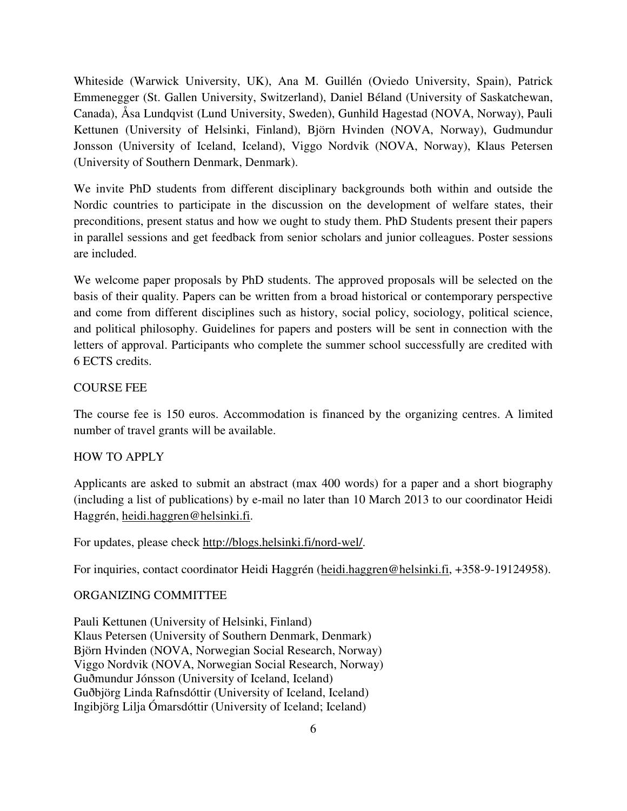Whiteside (Warwick University, UK), Ana M. Guillén (Oviedo University, Spain), Patrick Emmenegger (St. Gallen University, Switzerland), Daniel Béland (University of Saskatchewan, Canada), Åsa Lundqvist (Lund University, Sweden), Gunhild Hagestad (NOVA, Norway), Pauli Kettunen (University of Helsinki, Finland), Björn Hvinden (NOVA, Norway), Gudmundur Jonsson (University of Iceland, Iceland), Viggo Nordvik (NOVA, Norway), Klaus Petersen (University of Southern Denmark, Denmark).

We invite PhD students from different disciplinary backgrounds both within and outside the Nordic countries to participate in the discussion on the development of welfare states, their preconditions, present status and how we ought to study them. PhD Students present their papers in parallel sessions and get feedback from senior scholars and junior colleagues. Poster sessions are included.

We welcome paper proposals by PhD students. The approved proposals will be selected on the basis of their quality. Papers can be written from a broad historical or contemporary perspective and come from different disciplines such as history, social policy, sociology, political science, and political philosophy. Guidelines for papers and posters will be sent in connection with the letters of approval. Participants who complete the summer school successfully are credited with 6 ECTS credits.

#### COURSE FEE

The course fee is 150 euros. Accommodation is financed by the organizing centres. A limited number of travel grants will be available.

#### HOW TO APPLY

Applicants are asked to submit an abstract (max 400 words) for a paper and a short biography (including a list of publications) by e-mail no later than 10 March 2013 to our coordinator Heidi Haggrén, heidi.haggren@helsinki.fi.

For updates, please check http://blogs.helsinki.fi/nord-wel/.

For inquiries, contact coordinator Heidi Haggrén (heidi.haggren@helsinki.fi, +358-9-19124958).

#### ORGANIZING COMMITTEE

Pauli Kettunen (University of Helsinki, Finland) Klaus Petersen (University of Southern Denmark, Denmark) Björn Hvinden (NOVA, Norwegian Social Research, Norway) Viggo Nordvik (NOVA, Norwegian Social Research, Norway) Guðmundur Jónsson (University of Iceland, Iceland) Guðbjörg Linda Rafnsdóttir (University of Iceland, Iceland) Ingibjörg Lilja Ómarsdóttir (University of Iceland; Iceland)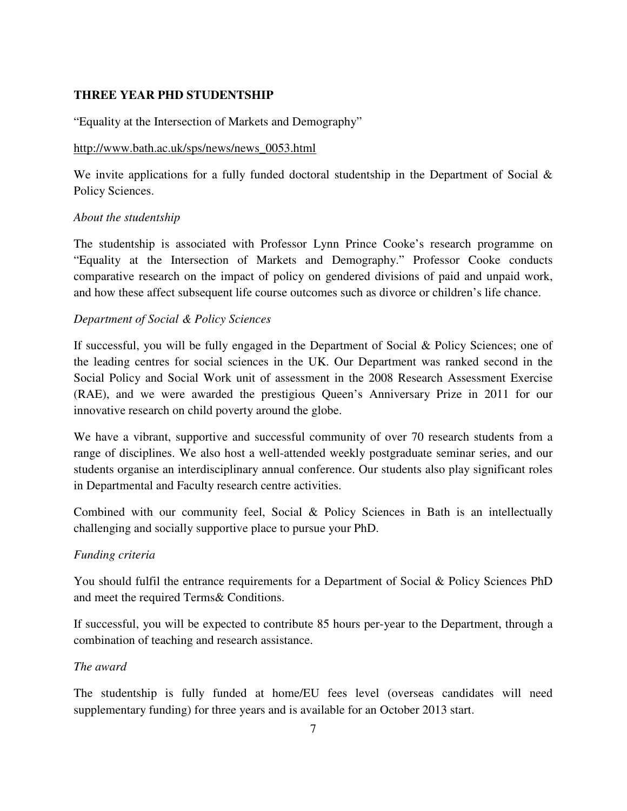## **THREE YEAR PHD STUDENTSHIP**

"Equality at the Intersection of Markets and Demography"

#### http://www.bath.ac.uk/sps/news/news\_0053.html

We invite applications for a fully funded doctoral studentship in the Department of Social & Policy Sciences.

## *About the studentship*

The studentship is associated with Professor Lynn Prince Cooke's research programme on "Equality at the Intersection of Markets and Demography." Professor Cooke conducts comparative research on the impact of policy on gendered divisions of paid and unpaid work, and how these affect subsequent life course outcomes such as divorce or children's life chance.

## *Department of Social & Policy Sciences*

If successful, you will be fully engaged in the Department of Social & Policy Sciences; one of the leading centres for social sciences in the UK. Our Department was ranked second in the Social Policy and Social Work unit of assessment in the 2008 Research Assessment Exercise (RAE), and we were awarded the prestigious Queen's Anniversary Prize in 2011 for our innovative research on child poverty around the globe.

We have a vibrant, supportive and successful community of over 70 research students from a range of disciplines. We also host a well-attended weekly postgraduate seminar series, and our students organise an interdisciplinary annual conference. Our students also play significant roles in Departmental and Faculty research centre activities.

Combined with our community feel, Social & Policy Sciences in Bath is an intellectually challenging and socially supportive place to pursue your PhD.

## *Funding criteria*

You should fulfil the entrance requirements for a Department of Social & Policy Sciences PhD and meet the required Terms& Conditions.

If successful, you will be expected to contribute 85 hours per-year to the Department, through a combination of teaching and research assistance.

#### *The award*

The studentship is fully funded at home/EU fees level (overseas candidates will need supplementary funding) for three years and is available for an October 2013 start.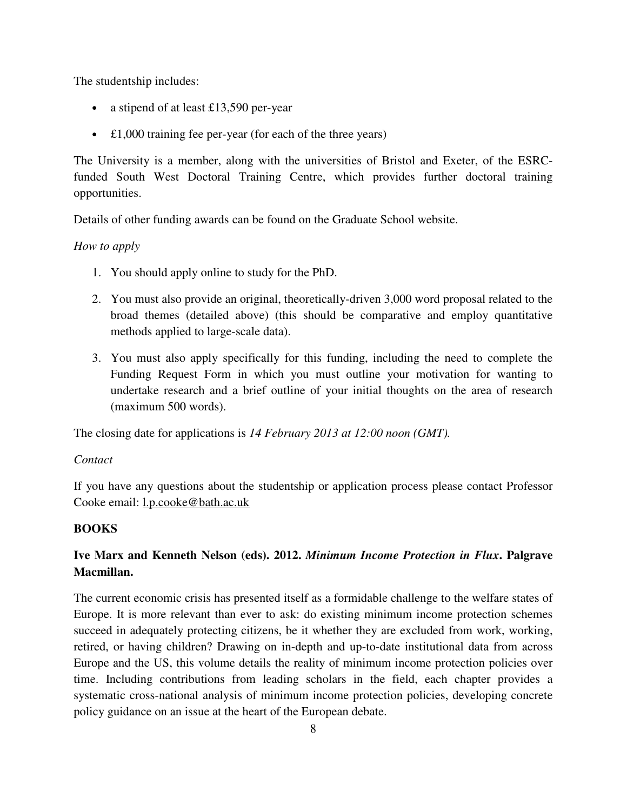The studentship includes:

- a stipend of at least £13,590 per-year
- £1,000 training fee per-year (for each of the three years)

The University is a member, along with the universities of Bristol and Exeter, of the ESRCfunded South West Doctoral Training Centre, which provides further doctoral training opportunities.

Details of other funding awards can be found on the Graduate School website.

## *How to apply*

- 1. You should apply online to study for the PhD.
- 2. You must also provide an original, theoretically-driven 3,000 word proposal related to the broad themes (detailed above) (this should be comparative and employ quantitative methods applied to large-scale data).
- 3. You must also apply specifically for this funding, including the need to complete the Funding Request Form in which you must outline your motivation for wanting to undertake research and a brief outline of your initial thoughts on the area of research (maximum 500 words).

The closing date for applications is *14 February 2013 at 12:00 noon (GMT).*

#### *Contact*

If you have any questions about the studentship or application process please contact Professor Cooke email: l.p.cooke@bath.ac.uk

## **BOOKS**

# **Ive Marx and Kenneth Nelson (eds). 2012.** *Minimum Income Protection in Flux***. Palgrave Macmillan.**

The current economic crisis has presented itself as a formidable challenge to the welfare states of Europe. It is more relevant than ever to ask: do existing minimum income protection schemes succeed in adequately protecting citizens, be it whether they are excluded from work, working, retired, or having children? Drawing on in-depth and up-to-date institutional data from across Europe and the US, this volume details the reality of minimum income protection policies over time. Including contributions from leading scholars in the field, each chapter provides a systematic cross-national analysis of minimum income protection policies, developing concrete policy guidance on an issue at the heart of the European debate.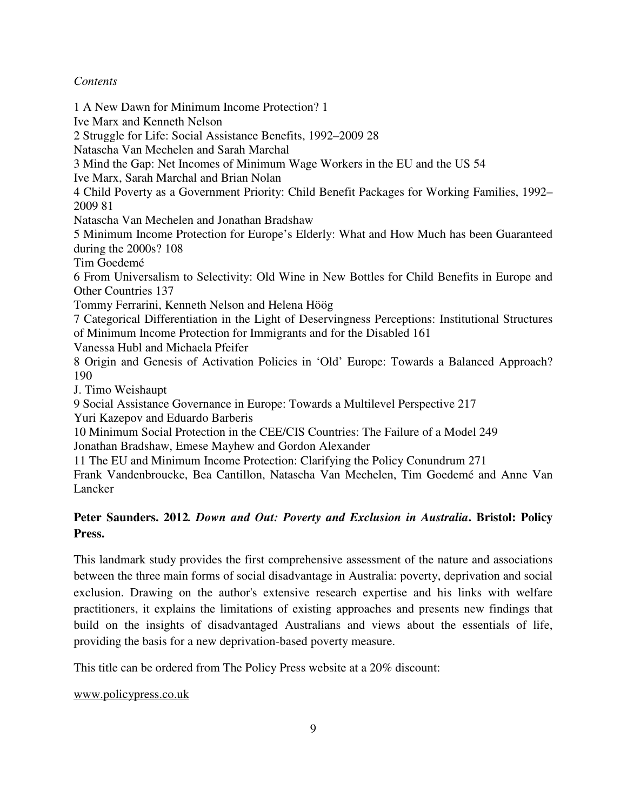#### *Contents*

1 A New Dawn for Minimum Income Protection? 1 Ive Marx and Kenneth Nelson 2 Struggle for Life: Social Assistance Benefits, 1992–2009 28 Natascha Van Mechelen and Sarah Marchal 3 Mind the Gap: Net Incomes of Minimum Wage Workers in the EU and the US 54 Ive Marx, Sarah Marchal and Brian Nolan 4 Child Poverty as a Government Priority: Child Benefit Packages for Working Families, 1992– 2009 81 Natascha Van Mechelen and Jonathan Bradshaw 5 Minimum Income Protection for Europe's Elderly: What and How Much has been Guaranteed during the 2000s? 108 Tim Goedemé 6 From Universalism to Selectivity: Old Wine in New Bottles for Child Benefits in Europe and Other Countries 137 Tommy Ferrarini, Kenneth Nelson and Helena Höög 7 Categorical Differentiation in the Light of Deservingness Perceptions: Institutional Structures of Minimum Income Protection for Immigrants and for the Disabled 161 Vanessa Hubl and Michaela Pfeifer 8 Origin and Genesis of Activation Policies in 'Old' Europe: Towards a Balanced Approach? 190 J. Timo Weishaupt 9 Social Assistance Governance in Europe: Towards a Multilevel Perspective 217 Yuri Kazepov and Eduardo Barberis 10 Minimum Social Protection in the CEE/CIS Countries: The Failure of a Model 249 Jonathan Bradshaw, Emese Mayhew and Gordon Alexander 11 The EU and Minimum Income Protection: Clarifying the Policy Conundrum 271 Frank Vandenbroucke, Bea Cantillon, Natascha Van Mechelen, Tim Goedemé and Anne Van Lancker

# **Peter Saunders. 2012***. Down and Out: Poverty and Exclusion in Australia***. Bristol: Policy Press.**

This landmark study provides the first comprehensive assessment of the nature and associations between the three main forms of social disadvantage in Australia: poverty, deprivation and social exclusion. Drawing on the author's extensive research expertise and his links with welfare practitioners, it explains the limitations of existing approaches and presents new findings that build on the insights of disadvantaged Australians and views about the essentials of life, providing the basis for a new deprivation-based poverty measure.

This title can be ordered from The Policy Press website at a 20% discount:

www.policypress.co.uk